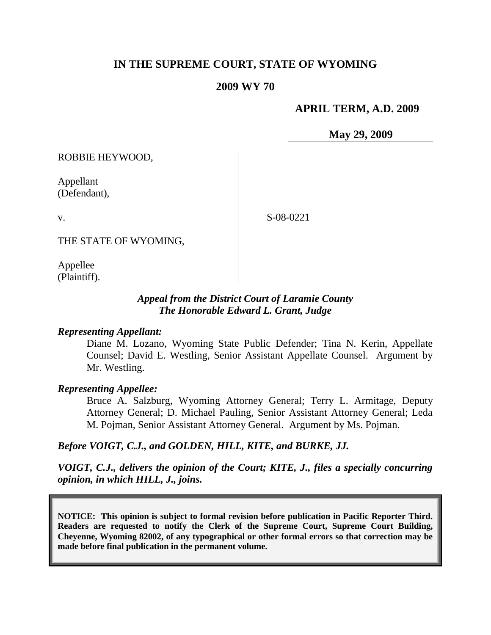# **IN THE SUPREME COURT, STATE OF WYOMING**

### **2009 WY 70**

### **APRIL TERM, A.D. 2009**

**May 29, 2009**

ROBBIE HEYWOOD,

Appellant (Defendant),

v.

S-08-0221

THE STATE OF WYOMING,

Appellee (Plaintiff).

# *Appeal from the District Court of Laramie County The Honorable Edward L. Grant, Judge*

#### *Representing Appellant:*

Diane M. Lozano, Wyoming State Public Defender; Tina N. Kerin, Appellate Counsel; David E. Westling, Senior Assistant Appellate Counsel. Argument by Mr. Westling.

#### *Representing Appellee:*

Bruce A. Salzburg, Wyoming Attorney General; Terry L. Armitage, Deputy Attorney General; D. Michael Pauling, Senior Assistant Attorney General; Leda M. Pojman, Senior Assistant Attorney General. Argument by Ms. Pojman.

### *Before VOIGT, C.J., and GOLDEN, HILL, KITE, and BURKE, JJ.*

*VOIGT, C.J., delivers the opinion of the Court; KITE, J., files a specially concurring opinion, in which HILL, J., joins.*

**NOTICE: This opinion is subject to formal revision before publication in Pacific Reporter Third. Readers are requested to notify the Clerk of the Supreme Court, Supreme Court Building, Cheyenne, Wyoming 82002, of any typographical or other formal errors so that correction may be made before final publication in the permanent volume.**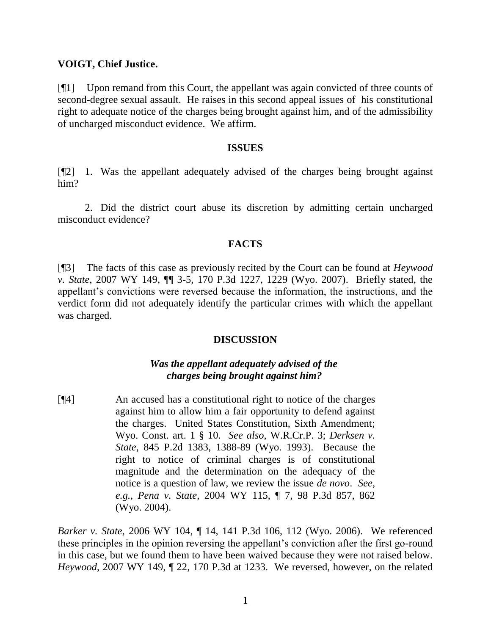## **VOIGT, Chief Justice.**

[¶1] Upon remand from this Court, the appellant was again convicted of three counts of second-degree sexual assault. He raises in this second appeal issues of his constitutional right to adequate notice of the charges being brought against him, and of the admissibility of uncharged misconduct evidence. We affirm.

#### **ISSUES**

[¶2] 1. Was the appellant adequately advised of the charges being brought against him?

2. Did the district court abuse its discretion by admitting certain uncharged misconduct evidence?

# **FACTS**

[¶3] The facts of this case as previously recited by the Court can be found at *Heywood v. State*, 2007 WY 149, ¶¶ 3-5, 170 P.3d 1227, 1229 (Wyo. 2007). Briefly stated, the appellant's convictions were reversed because the information, the instructions, and the verdict form did not adequately identify the particular crimes with which the appellant was charged.

# **DISCUSSION**

# *Was the appellant adequately advised of the charges being brought against him?*

[¶4] An accused has a constitutional right to notice of the charges against him to allow him a fair opportunity to defend against the charges. United States Constitution, Sixth Amendment; Wyo. Const. art. 1 § 10. *See also*, W.R.Cr.P. 3; *Derksen v. State*, 845 P.2d 1383, 1388-89 (Wyo. 1993). Because the right to notice of criminal charges is of constitutional magnitude and the determination on the adequacy of the notice is a question of law, we review the issue *de novo*. *See, e.g., Pena v. State*, 2004 WY 115, ¶ 7, 98 P.3d 857, 862 (Wyo. 2004).

*Barker v. State*, 2006 WY 104, ¶ 14, 141 P.3d 106, 112 (Wyo. 2006). We referenced these principles in the opinion reversing the appellant's conviction after the first go-round in this case, but we found them to have been waived because they were not raised below. *Heywood*, 2007 WY 149, ¶ 22, 170 P.3d at 1233. We reversed, however, on the related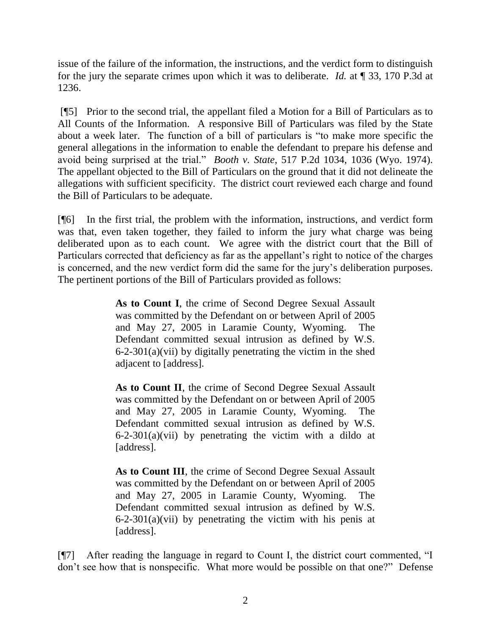issue of the failure of the information, the instructions, and the verdict form to distinguish for the jury the separate crimes upon which it was to deliberate. *Id.* at ¶ 33, 170 P.3d at 1236.

[¶5] Prior to the second trial, the appellant filed a Motion for a Bill of Particulars as to All Counts of the Information. A responsive Bill of Particulars was filed by the State about a week later. The function of a bill of particulars is "to make more specific the general allegations in the information to enable the defendant to prepare his defense and avoid being surprised at the trial." *Booth v. State*, 517 P.2d 1034, 1036 (Wyo. 1974). The appellant objected to the Bill of Particulars on the ground that it did not delineate the allegations with sufficient specificity. The district court reviewed each charge and found the Bill of Particulars to be adequate.

[¶6] In the first trial, the problem with the information, instructions, and verdict form was that, even taken together, they failed to inform the jury what charge was being deliberated upon as to each count. We agree with the district court that the Bill of Particulars corrected that deficiency as far as the appellant's right to notice of the charges is concerned, and the new verdict form did the same for the jury's deliberation purposes. The pertinent portions of the Bill of Particulars provided as follows:

> **As to Count I**, the crime of Second Degree Sexual Assault was committed by the Defendant on or between April of 2005 and May 27, 2005 in Laramie County, Wyoming. The Defendant committed sexual intrusion as defined by W.S. 6-2-301(a)(vii) by digitally penetrating the victim in the shed adjacent to [address].

> **As to Count II**, the crime of Second Degree Sexual Assault was committed by the Defendant on or between April of 2005 and May 27, 2005 in Laramie County, Wyoming. The Defendant committed sexual intrusion as defined by W.S.  $6-2-301(a)(vii)$  by penetrating the victim with a dildo at [address].

> As to Count III, the crime of Second Degree Sexual Assault was committed by the Defendant on or between April of 2005 and May 27, 2005 in Laramie County, Wyoming. The Defendant committed sexual intrusion as defined by W.S.  $6-2-301(a)(vii)$  by penetrating the victim with his penis at [address].

[¶7] After reading the language in regard to Count I, the district court commented, "I don't see how that is nonspecific. What more would be possible on that one?" Defense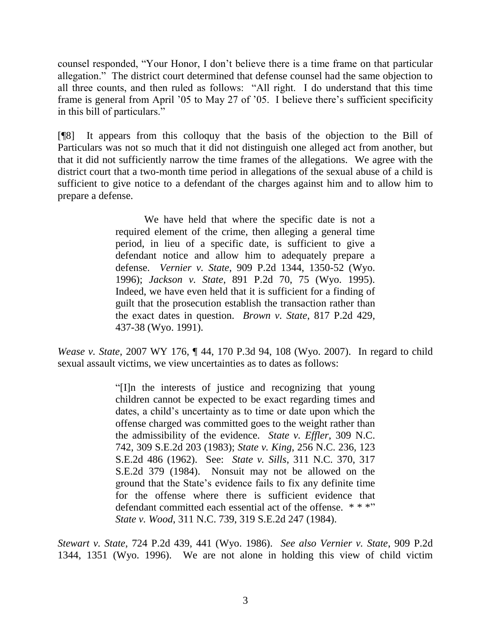counsel responded, "Your Honor, I don't believe there is a time frame on that particular allegation." The district court determined that defense counsel had the same objection to all three counts, and then ruled as follows: "All right. I do understand that this time frame is general from April '05 to May 27 of '05. I believe there's sufficient specificity in this bill of particulars."

[¶8] It appears from this colloquy that the basis of the objection to the Bill of Particulars was not so much that it did not distinguish one alleged act from another, but that it did not sufficiently narrow the time frames of the allegations. We agree with the district court that a two-month time period in allegations of the sexual abuse of a child is sufficient to give notice to a defendant of the charges against him and to allow him to prepare a defense.

> We have held that where the specific date is not a required element of the crime, then alleging a general time period, in lieu of a specific date, is sufficient to give a defendant notice and allow him to adequately prepare a defense. *Vernier v. State*, 909 P.2d 1344, 1350-52 (Wyo. 1996); *Jackson v. State*, 891 P.2d 70, 75 (Wyo. 1995). Indeed, we have even held that it is sufficient for a finding of guilt that the prosecution establish the transaction rather than the exact dates in question. *Brown v. State*, 817 P.2d 429, 437-38 (Wyo. 1991).

*Wease v. State*, 2007 WY 176, ¶ 44, 170 P.3d 94, 108 (Wyo. 2007). In regard to child sexual assault victims, we view uncertainties as to dates as follows:

> ―[I]n the interests of justice and recognizing that young children cannot be expected to be exact regarding times and dates, a child's uncertainty as to time or date upon which the offense charged was committed goes to the weight rather than the admissibility of the evidence. *State v. Effler*, 309 N.C. 742, 309 S.E.2d 203 (1983); *State v. King*, 256 N.C. 236, 123 S.E.2d 486 (1962). See: *State v. Sills*, 311 N.C. 370, 317 S.E.2d 379 (1984). Nonsuit may not be allowed on the ground that the State's evidence fails to fix any definite time for the offense where there is sufficient evidence that defendant committed each essential act of the offense. \*\*\*" *State v. Wood*, 311 N.C. 739, 319 S.E.2d 247 (1984).

*Stewart v. State*, 724 P.2d 439, 441 (Wyo. 1986). *See also Vernier v. State*, 909 P.2d 1344, 1351 (Wyo. 1996). We are not alone in holding this view of child victim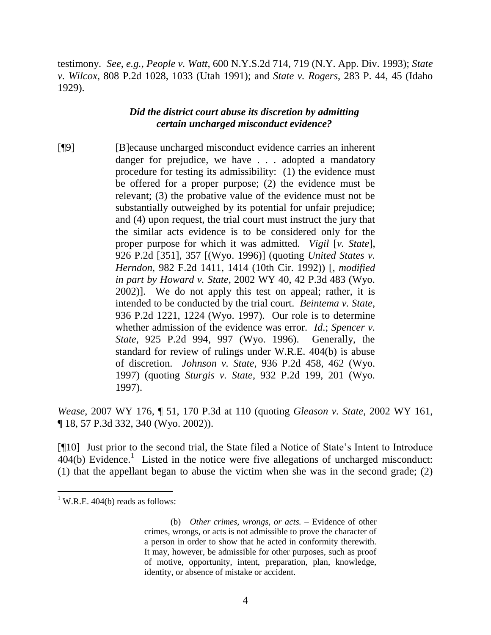testimony. *See*, *e.g.*, *People v. Watt*, 600 N.Y.S.2d 714, 719 (N.Y. App. Div. 1993); *State v. Wilcox*, 808 P.2d 1028, 1033 (Utah 1991); and *State v. Rogers*, 283 P. 44, 45 (Idaho 1929).

## *Did the district court abuse its discretion by admitting certain uncharged misconduct evidence?*

[¶9] [B]ecause uncharged misconduct evidence carries an inherent danger for prejudice, we have . . . adopted a mandatory procedure for testing its admissibility: (1) the evidence must be offered for a proper purpose; (2) the evidence must be relevant; (3) the probative value of the evidence must not be substantially outweighed by its potential for unfair prejudice; and (4) upon request, the trial court must instruct the jury that the similar acts evidence is to be considered only for the proper purpose for which it was admitted. *Vigil* [*v. State*], 926 P.2d [351], 357 [(Wyo. 1996)] (quoting *United States v. Herndon*, 982 F.2d 1411, 1414 (10th Cir. 1992)) [, *modified in part by Howard v. State*, 2002 WY 40, 42 P.3d 483 (Wyo. 2002)]. We do not apply this test on appeal; rather, it is intended to be conducted by the trial court. *Beintema v. State*, 936 P.2d 1221, 1224 (Wyo. 1997). Our role is to determine whether admission of the evidence was error. *Id*.; *Spencer v. State*, 925 P.2d 994, 997 (Wyo. 1996). Generally, the standard for review of rulings under W.R.E. 404(b) is abuse of discretion. *Johnson v. State*, 936 P.2d 458, 462 (Wyo. 1997) (quoting *Sturgis v. State*, 932 P.2d 199, 201 (Wyo. 1997).

*Wease*, 2007 WY 176, ¶ 51, 170 P.3d at 110 (quoting *Gleason v. State*, 2002 WY 161, ¶ 18, 57 P.3d 332, 340 (Wyo. 2002)).

[¶10] Just prior to the second trial, the State filed a Notice of State's Intent to Introduce  $404(b)$  Evidence.<sup>1</sup> Listed in the notice were five allegations of uncharged misconduct: (1) that the appellant began to abuse the victim when she was in the second grade; (2)

 $1$  W.R.E. 404(b) reads as follows:

<sup>(</sup>b) *Other crimes, wrongs, or acts.* – Evidence of other crimes, wrongs, or acts is not admissible to prove the character of a person in order to show that he acted in conformity therewith. It may, however, be admissible for other purposes, such as proof of motive, opportunity, intent, preparation, plan, knowledge, identity, or absence of mistake or accident.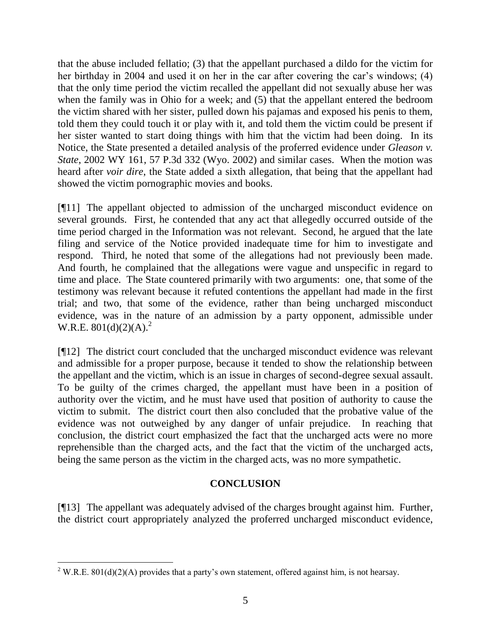that the abuse included fellatio; (3) that the appellant purchased a dildo for the victim for her birthday in 2004 and used it on her in the car after covering the car's windows; (4) that the only time period the victim recalled the appellant did not sexually abuse her was when the family was in Ohio for a week; and (5) that the appellant entered the bedroom the victim shared with her sister, pulled down his pajamas and exposed his penis to them, told them they could touch it or play with it, and told them the victim could be present if her sister wanted to start doing things with him that the victim had been doing. In its Notice, the State presented a detailed analysis of the proferred evidence under *Gleason v. State*, 2002 WY 161, 57 P.3d 332 (Wyo. 2002) and similar cases. When the motion was heard after *voir dire*, the State added a sixth allegation, that being that the appellant had showed the victim pornographic movies and books.

[¶11] The appellant objected to admission of the uncharged misconduct evidence on several grounds. First, he contended that any act that allegedly occurred outside of the time period charged in the Information was not relevant. Second, he argued that the late filing and service of the Notice provided inadequate time for him to investigate and respond. Third, he noted that some of the allegations had not previously been made. And fourth, he complained that the allegations were vague and unspecific in regard to time and place. The State countered primarily with two arguments: one, that some of the testimony was relevant because it refuted contentions the appellant had made in the first trial; and two, that some of the evidence, rather than being uncharged misconduct evidence, was in the nature of an admission by a party opponent, admissible under W.R.E.  $801(d)(2)(A)^2$ 

[¶12] The district court concluded that the uncharged misconduct evidence was relevant and admissible for a proper purpose, because it tended to show the relationship between the appellant and the victim, which is an issue in charges of second-degree sexual assault. To be guilty of the crimes charged, the appellant must have been in a position of authority over the victim, and he must have used that position of authority to cause the victim to submit. The district court then also concluded that the probative value of the evidence was not outweighed by any danger of unfair prejudice. In reaching that conclusion, the district court emphasized the fact that the uncharged acts were no more reprehensible than the charged acts, and the fact that the victim of the uncharged acts, being the same person as the victim in the charged acts, was no more sympathetic.

# **CONCLUSION**

[¶13] The appellant was adequately advised of the charges brought against him. Further, the district court appropriately analyzed the proferred uncharged misconduct evidence,

<sup>&</sup>lt;sup>2</sup> W.R.E. 801(d)(2)(A) provides that a party's own statement, offered against him, is not hearsay.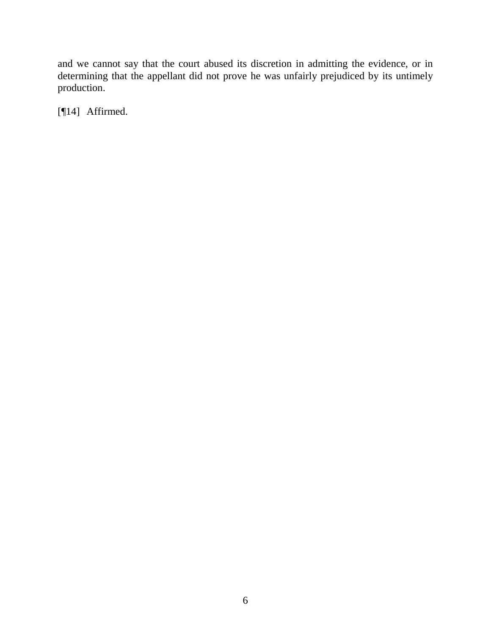and we cannot say that the court abused its discretion in admitting the evidence, or in determining that the appellant did not prove he was unfairly prejudiced by its untimely production.

[¶14] Affirmed.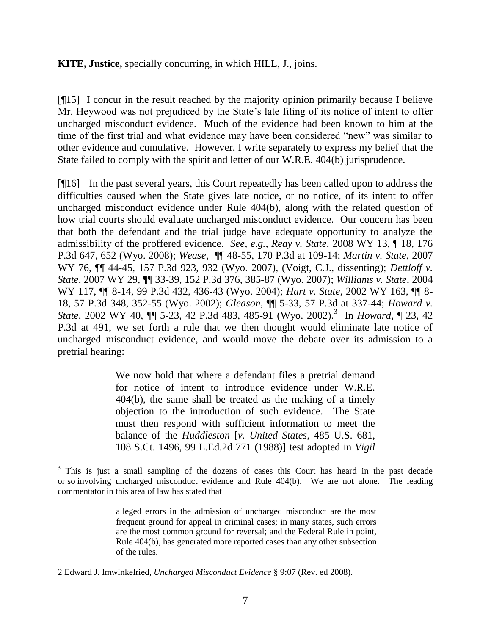## **KITE, Justice,** specially concurring, in which HILL, J., joins.

[¶15] I concur in the result reached by the majority opinion primarily because I believe Mr. Heywood was not prejudiced by the State's late filing of its notice of intent to offer uncharged misconduct evidence. Much of the evidence had been known to him at the time of the first trial and what evidence may have been considered "new" was similar to other evidence and cumulative. However, I write separately to express my belief that the State failed to comply with the spirit and letter of our W.R.E. 404(b) jurisprudence.

[¶16] In the past several years, this Court repeatedly has been called upon to address the difficulties caused when the State gives late notice, or no notice, of its intent to offer uncharged misconduct evidence under Rule 404(b), along with the related question of how trial courts should evaluate uncharged misconduct evidence. Our concern has been that both the defendant and the trial judge have adequate opportunity to analyze the admissibility of the proffered evidence. *See*, *e.g.*, *Reay v. State*, 2008 WY 13, ¶ 18, 176 P.3d 647, 652 (Wyo. 2008); *Wease*, ¶¶ 48-55, 170 P.3d at 109-14; *Martin v. State*, 2007 WY 76, ¶¶ 44-45, 157 P.3d 923, 932 (Wyo. 2007), (Voigt, C.J., dissenting); *Dettloff v. State*, 2007 WY 29, ¶¶ 33-39, 152 P.3d 376, 385-87 (Wyo. 2007); *Williams v. State*, 2004 WY 117, ¶¶ 8-14, 99 P.3d 432, 436-43 (Wyo. 2004); *Hart v. State*, 2002 WY 163, ¶¶ 8- 18, 57 P.3d 348, 352-55 (Wyo. 2002); *Gleason*, ¶¶ 5-33, 57 P.3d at 337-44; *Howard v. State*, 2002 WY 40,  $\P$  5-23, 42 P.3d 483, 485-91 (Wyo. 2002).<sup>3</sup> In *Howard*,  $\P$  23, 42 P.3d at 491, we set forth a rule that we then thought would eliminate late notice of uncharged misconduct evidence, and would move the debate over its admission to a pretrial hearing:

> We now hold that where a defendant files a pretrial demand for notice of intent to introduce evidence under W.R.E. 404(b), the same shall be treated as the making of a timely objection to the introduction of such evidence. The State must then respond with sufficient information to meet the balance of the *Huddleston* [*v. United States*, 485 U.S. 681, 108 S.Ct. 1496, 99 L.Ed.2d 771 (1988)] test adopted in *Vigil*

alleged errors in the admission of uncharged misconduct are the most frequent ground for appeal in criminal cases; in many states, such errors are the most common ground for reversal; and the Federal Rule in point, Rule 404(b), has generated more reported cases than any other subsection of the rules.

 $3$  This is just a small sampling of the dozens of cases this Court has heard in the past decade or so involving uncharged misconduct evidence and Rule 404(b). We are not alone. The leading commentator in this area of law has stated that

<sup>2</sup> Edward J. Imwinkelried, *Uncharged Misconduct Evidence* § 9:07 (Rev. ed 2008).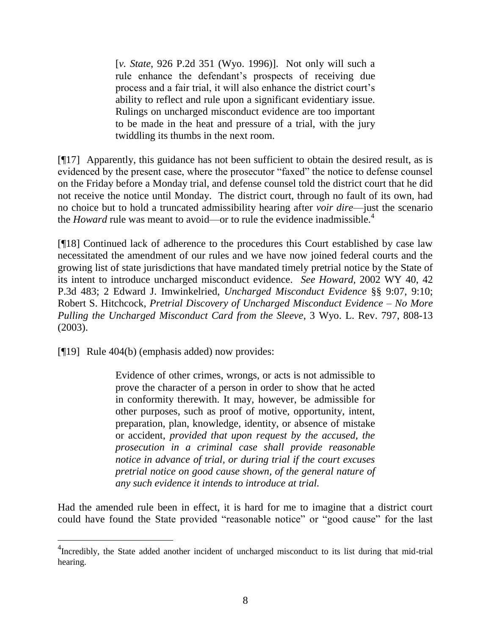[*v. State*, 926 P.2d 351 (Wyo. 1996)]. Not only will such a rule enhance the defendant's prospects of receiving due process and a fair trial, it will also enhance the district court's ability to reflect and rule upon a significant evidentiary issue. Rulings on uncharged misconduct evidence are too important to be made in the heat and pressure of a trial, with the jury twiddling its thumbs in the next room.

[¶17] Apparently, this guidance has not been sufficient to obtain the desired result, as is evidenced by the present case, where the prosecutor "faxed" the notice to defense counsel on the Friday before a Monday trial, and defense counsel told the district court that he did not receive the notice until Monday. The district court, through no fault of its own, had no choice but to hold a truncated admissibility hearing after *voir dire*—just the scenario the *Howard* rule was meant to avoid—or to rule the evidence inadmissible.<sup>4</sup>

[¶18] Continued lack of adherence to the procedures this Court established by case law necessitated the amendment of our rules and we have now joined federal courts and the growing list of state jurisdictions that have mandated timely pretrial notice by the State of its intent to introduce uncharged misconduct evidence. *See Howard,* 2002 WY 40, 42 P.3d 483; 2 Edward J. Imwinkelried, *Uncharged Misconduct Evidence* §§ 9:07, 9:10; Robert S. Hitchcock, *Pretrial Discovery of Uncharged Misconduct Evidence – No More Pulling the Uncharged Misconduct Card from the Sleeve*, 3 Wyo. L. Rev. 797, 808-13 (2003).

[¶19] Rule 404(b) (emphasis added) now provides:

Evidence of other crimes, wrongs, or acts is not admissible to prove the character of a person in order to show that he acted in conformity therewith. It may, however, be admissible for other purposes, such as proof of motive, opportunity, intent, preparation, plan, knowledge, identity, or absence of mistake or accident, *provided that upon request by the accused, the prosecution in a criminal case shall provide reasonable notice in advance of trial, or during trial if the court excuses pretrial notice on good cause shown, of the general nature of any such evidence it intends to introduce at trial.*

Had the amended rule been in effect, it is hard for me to imagine that a district court could have found the State provided "reasonable notice" or "good cause" for the last

<sup>&</sup>lt;sup>4</sup>Incredibly, the State added another incident of uncharged misconduct to its list during that mid-trial hearing.